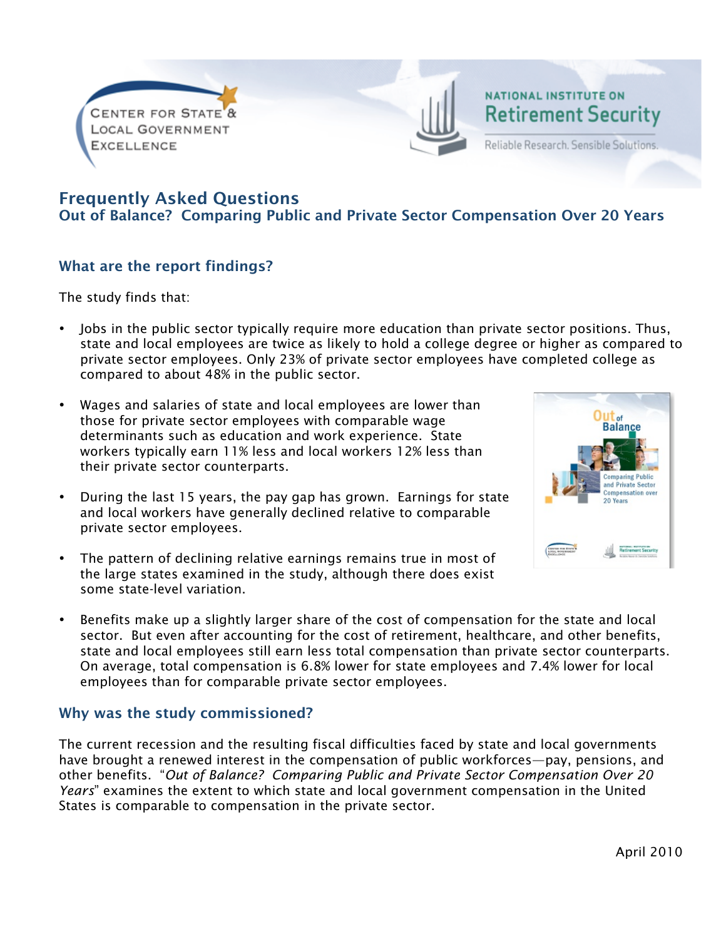

# NATIONAL INSTITUTE ON **Retirement Security**

Reliable Research. Sensible Solutions.

## Frequently Asked Questions

Out of Balance? Comparing Public and Private Sector Compensation Over 20 Years

## What are the report findings?

The study finds that:

- Jobs in the public sector typically require more education than private sector positions. Thus, state and local employees are twice as likely to hold a college degree or higher as compared to private sector employees. Only 23% of private sector employees have completed college as compared to about 48% in the public sector.
- Wages and salaries of state and local employees are lower than those for private sector employees with comparable wage determinants such as education and work experience. State workers typically earn 11% less and local workers 12% less than their private sector counterparts.
- During the last 15 years, the pay gap has grown. Earnings for state and local workers have generally declined relative to comparable private sector employees.
- The pattern of declining relative earnings remains true in most of the large states examined in the study, although there does exist some state-level variation.
- Benefits make up a slightly larger share of the cost of compensation for the state and local sector. But even after accounting for the cost of retirement, healthcare, and other benefits, state and local employees still earn less total compensation than private sector counterparts. On average, total compensation is 6.8% lower for state employees and 7.4% lower for local employees than for comparable private sector employees.

#### Why was the study commissioned?

The current recession and the resulting fiscal difficulties faced by state and local governments have brought a renewed interest in the compensation of public workforces—pay, pensions, and other benefits. "*Out of Balance? Comparing Public and Private Sector Compensation Over 20 Years*" examines the extent to which state and local government compensation in the United States is comparable to compensation in the private sector.